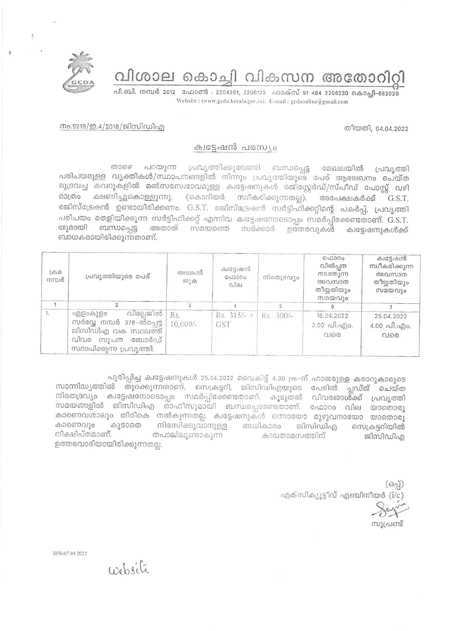വിശാല കൊച്ചി വികസന അതോറിറ്റി



പി.ബി. നമ്പർ 2012 ഫോൺ : 2204261, 2206122 ഫാക്സ് 91 484 2206230 കൊച്ചി-682020 Website: (www.gcda.kerala.gov.in); E-mail: gcdaonline@gmail.com

തീയതി, 04.04.2022

## നം.9219/ഇ.4/2018/ജിസിഡിഎ

## ക്വട്ടേഷൻ പരസ്യം

പറയുന്ന പ്രവൃത്തിക്കുവേണ്ടി ബന്ധപ്പെട്ട മേഖലയിൽ താഴെ പ്രവ്യത്തി പരിചയമുള്ള വ്യക്തികൾ/സ്ഥാപനങ്ങളിൽ നിന്നും പ്രവൃത്തിയുടെ പേര് ആലേഖനം ചെയ്ത മുദ്രവച്ച കവറുകളിൽ മൽസരസ്വഭാവമുള്ള ക്വട്ടേഷനുകൾ രജിസ്റ്റേർഡ്/സ്പീഡ് പോസ്റ്റ് വഴി മാത്രം ക്ഷണിച്ചുകൊള്ളുന്നു. (കൊറിയർ സ്വീകരിക്കുന്നതല്ല). അപേക്ഷകർക്ക് G.S.T. രജിസ്ട്രേഷൻ ഉണ്ടായിരിക്കണം. G.S.T. രജിസ്ട്രേഷൻ സർട്ടിഫിക്കറ്റിന്റെ പകർപ്പ്, പ്രവൃത്തി പരിചയം തെളിയിക്കുന്ന സർട്ടിഫിക്കറ്റ് എന്നിവ ക്വട്ടേഷനോടൊപ്പം സമർപ്പിക്കേണ്ടതാണ്. G.S.T. യുമായി ബന്ധപ്പെട്ട അതാത് സമയത്തെ സർക്കാർ ഉത്തരവുകൾ ക്വട്ടേഷനുകൾക്ക് ബാധകമായിരിക്കുന്നതാണ്.

| $L \oplus \mathbb{Z}$<br>നമ്പർ | പ്രവൃത്തിയുടെ പേര്                                                                                                        | അടങ്കൽ<br>തുക     | ക്വട്ടേഷൻ<br>GAD300<br>വില                                  | നിരതദ്രവ്യം | C <sub>0</sub> 000<br>വിൽപ്പന<br>നടത്തുന്ന<br>അവസാന<br>തീയ്യതിയും<br>സമയവും | ക്വട്ടേഷൻ<br>സ്വീകരിക്കുന്ന<br>അവസാന<br>തീയ്യതിയും<br>സമയവും |
|--------------------------------|---------------------------------------------------------------------------------------------------------------------------|-------------------|-------------------------------------------------------------|-------------|-----------------------------------------------------------------------------|--------------------------------------------------------------|
|                                |                                                                                                                           |                   |                                                             |             |                                                                             |                                                              |
| 1.                             | വില്ലേജിൽ<br>എളാകുളാ<br>സർവ്വേ നമ്പർ 378-ൽപ്പെട്ട  <br>ജിസിഡിഎ വക സ്ഥലത്ത്<br>വിവര സൂചന ബോർഡ്<br>സ്ഥാപിക്കുന്ന പ്രവൃത്തി. | Rs.<br>$10.009/-$ | Rs. $315/- +$ Rs. 300/-<br>GST<br>$\mathbf{a} = \mathbf{a}$ |             | 16,04.2022<br>$3.00 \text{ Al.}$ $90.$<br>വരെ                               | 25.04.2022<br>$4.00 \text{ Al.}$ എ $\circ$ .<br>വരെ          |

പൂരിപ്പിച്ച ക്വട്ടേഷനുകൾ 25.04.2022 വൈകിട്ട് 4.30 pm-ന് ഹാജരുള്ള കരാറുകാരുടെ സാന്നിദ്ധ്യത്തിൽ തുറക്കുന്നതാണ്. സെക്രട്ടറി, ജിസിഡിഎയുടെ പേരിൽ പ്ലഡ്ജ് ചെയ്ത നിരതദ്രവ്യം ക്വട്ടേഷനോടൊപ്പം സമർപ്പിക്കേണ്ടതാണ്. കൂടുതൽ വിവരങ്ങൾ്ക്ക് പ്രവൃത്തി സമയങ്ങളിൽ ജിസിഡിഎ ഓഫീസുമായി ബന്ധപ്പെടേണ്ടതാണ്. ഫോറം വില യാതൊരു കാരണവശാലും തിരികെ നൽകുന്നതല്ല. ക്വട്ടേഷനുകൾ ഒന്നായോ മുഴുവനായോ യാതൊരു കാരണവും കൂടാതെ നിരസിക്കുവാനുള്ള അധികാരം ജിസിഡിഎ സെക്രട്ടറിയിൽ നിക്ഷിപ്തമാണ്. തപാലിലുണ്ടാകുന്ന കാലതാമസത്തിന് ജിസിഡിഎ ഉത്തരവാദിയായിരിക്കുന്നതല്ല.

> $(630)$ എക്സിക്യൂട്ടീവ് എഞ്ചിനീയർ (i/c) സിപ്രണ്ട്

RPR-07.04.2022

Website